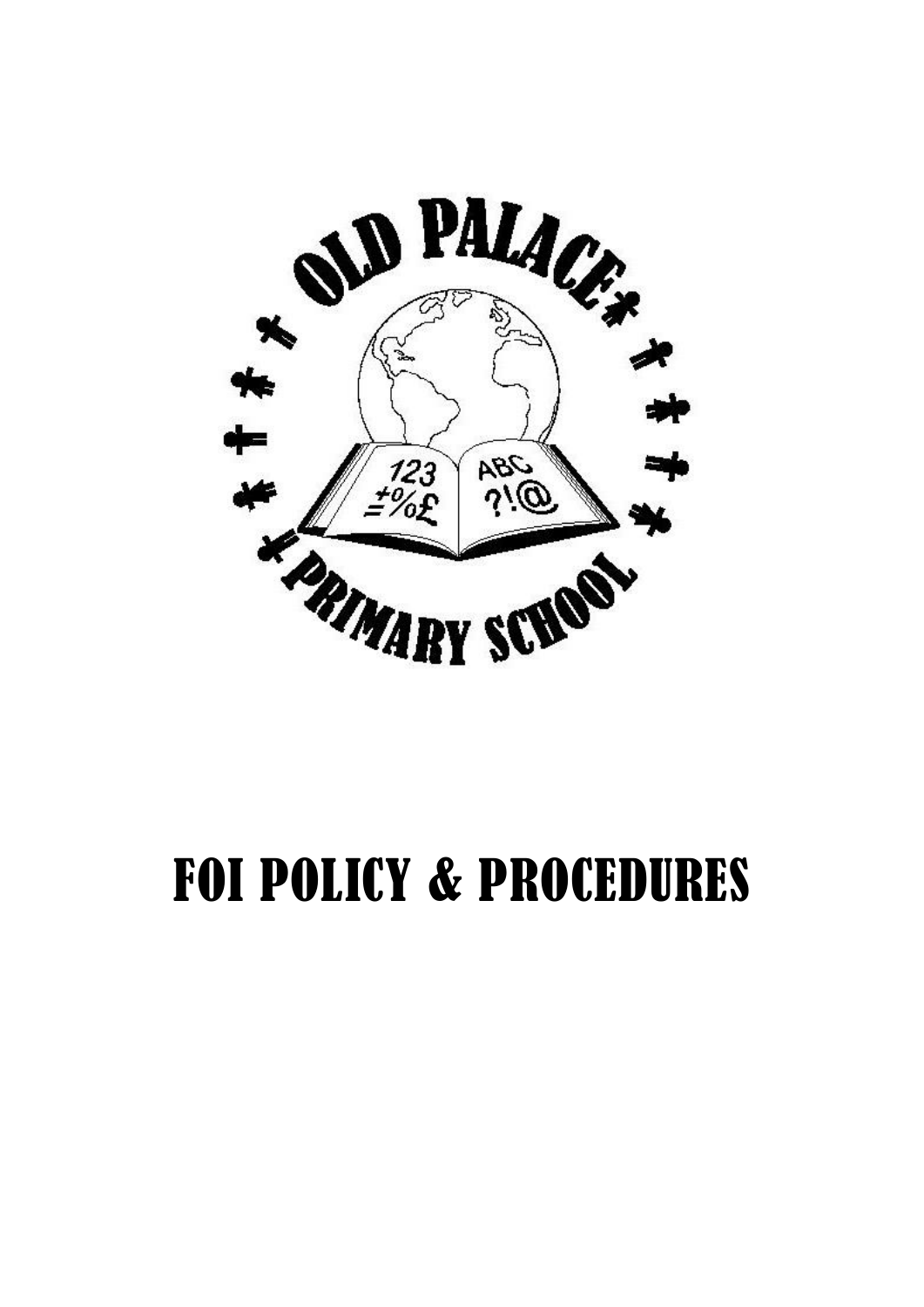

# FOI POLICY & PROCEDURES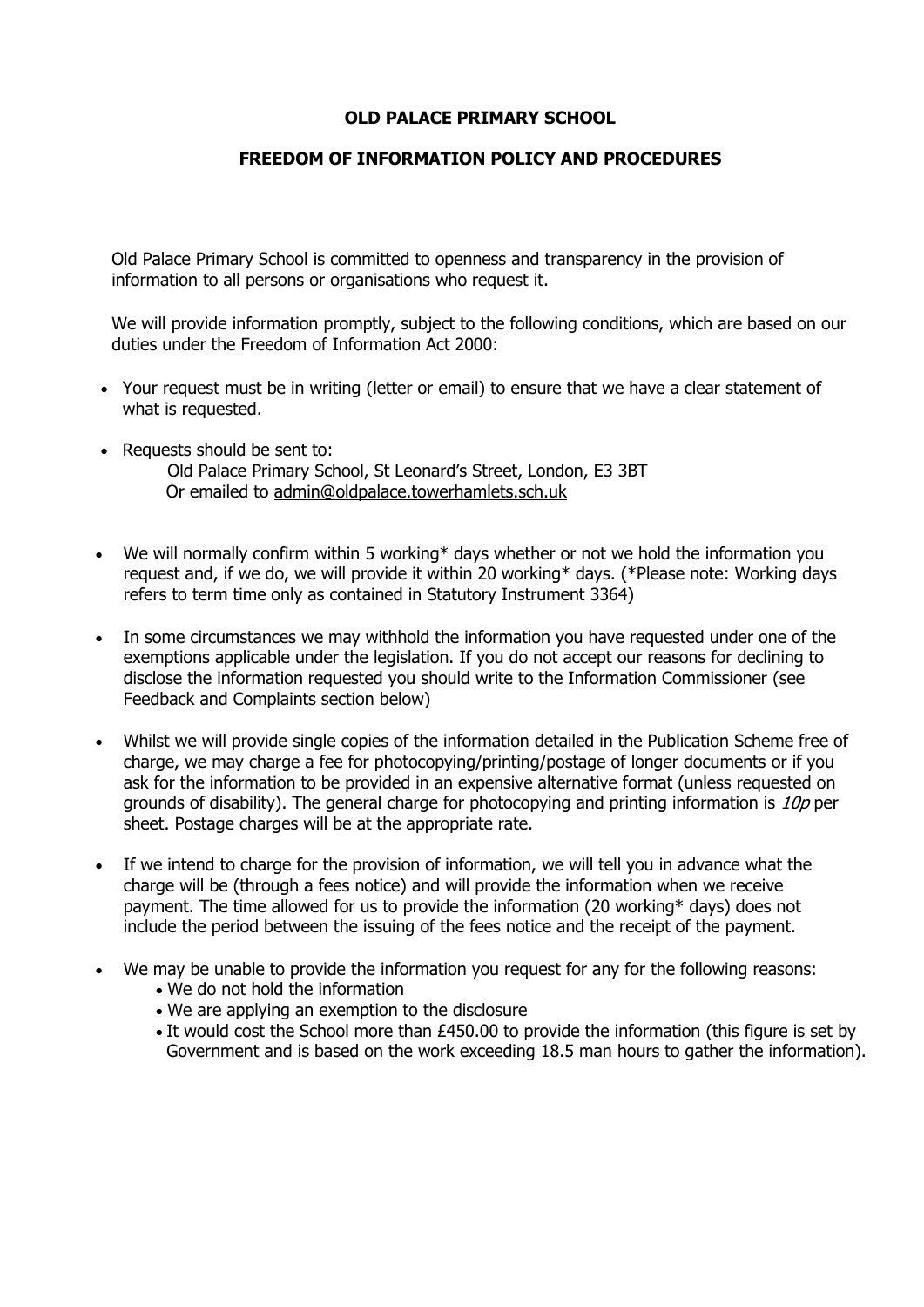# **OLD PALACE PRIMARY SCHOOL**

# **FREEDOM OF INFORMATION POLICY AND PROCEDURES**

Old Palace Primary School is committed to openness and transparency in the provision of information to all persons or organisations who request it.

We will provide information promptly, subject to the following conditions, which are based on our duties under the Freedom of Information Act 2000:

- Your request must be in writing (letter or email) to ensure that we have a clear statement of what is requested.
- Requests should be sent to: Old Palace Primary School, St Leonard's Street, London, E3 3BT Or emailed to [admin@oldpalace.towerhamlets.sch.uk](mailto:admin@oldpalace.towerhamlets.sch.uk)
- We will normally confirm within 5 working\* days whether or not we hold the information you request and, if we do, we will provide it within 20 working\* days. (\*Please note: Working days refers to term time only as contained in Statutory Instrument 3364)
- In some circumstances we may withhold the information you have requested under one of the exemptions applicable under the legislation. If you do not accept our reasons for declining to disclose the information requested you should write to the Information Commissioner (see Feedback and Complaints section below)
- Whilst we will provide single copies of the information detailed in the Publication Scheme free of charge, we may charge a fee for photocopying/printing/postage of longer documents or if you ask for the information to be provided in an expensive alternative format (unless requested on grounds of disability). The general charge for photocopying and printing information is 10p per sheet. Postage charges will be at the appropriate rate.
- If we intend to charge for the provision of information, we will tell you in advance what the charge will be (through a fees notice) and will provide the information when we receive payment. The time allowed for us to provide the information (20 working\* days) does not include the period between the issuing of the fees notice and the receipt of the payment.
- We may be unable to provide the information you request for any for the following reasons:
	- We do not hold the information
	- We are applying an exemption to the disclosure
	- It would cost the School more than £450.00 to provide the information (this figure is set by Government and is based on the work exceeding 18.5 man hours to gather the information).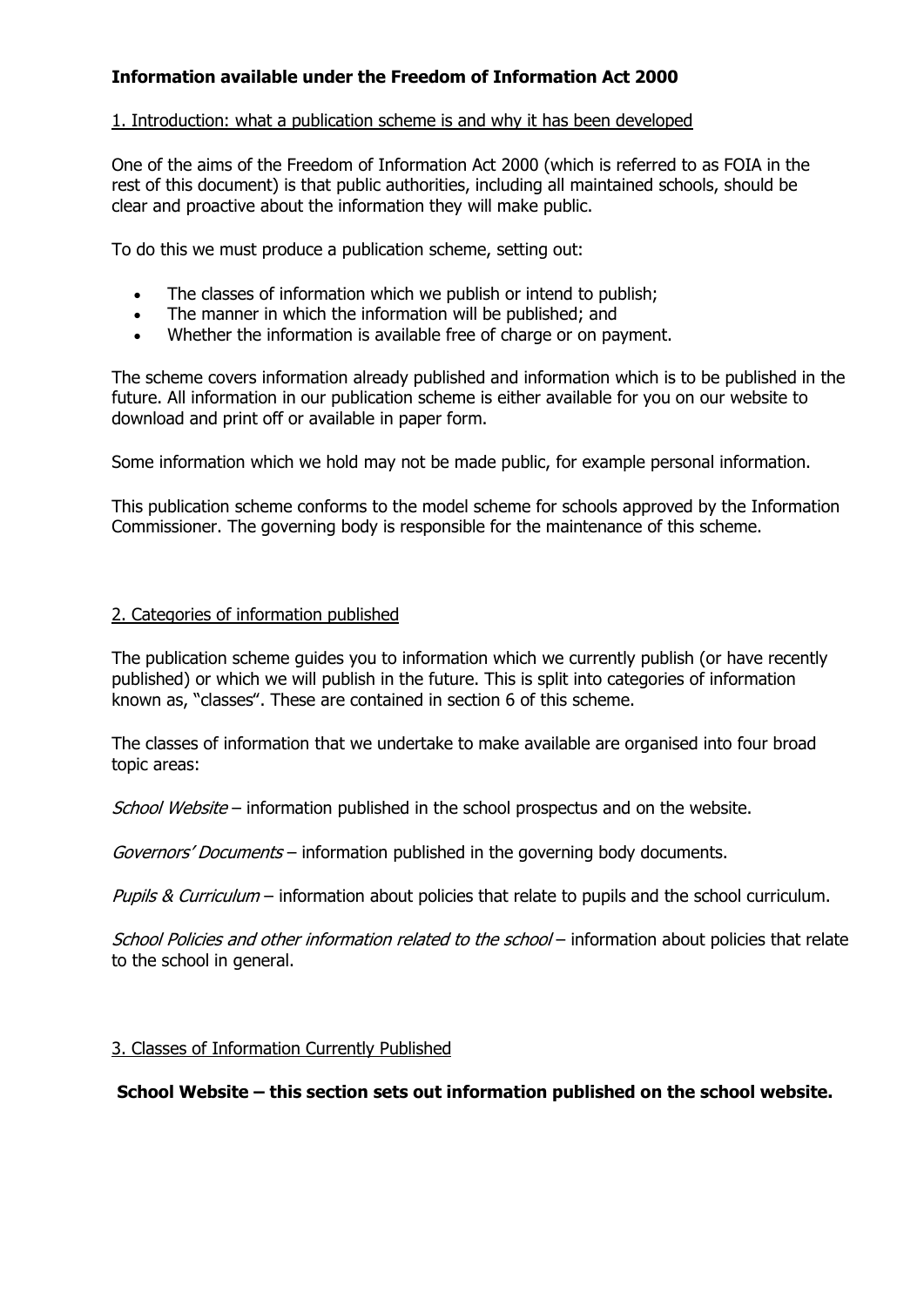# **Information available under the Freedom of Information Act 2000**

# 1. Introduction: what a publication scheme is and why it has been developed

One of the aims of the Freedom of Information Act 2000 (which is referred to as FOIA in the rest of this document) is that public authorities, including all maintained schools, should be clear and proactive about the information they will make public.

To do this we must produce a publication scheme, setting out:

- The classes of information which we publish or intend to publish;
- The manner in which the information will be published; and
- Whether the information is available free of charge or on payment.

The scheme covers information already published and information which is to be published in the future. All information in our publication scheme is either available for you on our website to download and print off or available in paper form.

Some information which we hold may not be made public, for example personal information.

This publication scheme conforms to the model scheme for schools approved by the Information Commissioner. The governing body is responsible for the maintenance of this scheme.

#### 2. Categories of information published

The publication scheme guides you to information which we currently publish (or have recently published) or which we will publish in the future. This is split into categories of information known as, "classes". These are contained in section 6 of this scheme.

The classes of information that we undertake to make available are organised into four broad topic areas:

School Website – information published in the school prospectus and on the website.

Governors' Documents – information published in the governing body documents.

Pupils & Curriculum – information about policies that relate to pupils and the school curriculum.

School Policies and other information related to the school – information about policies that relate to the school in general.

#### 3. Classes of Information Currently Published

**School Website – this section sets out information published on the school website.**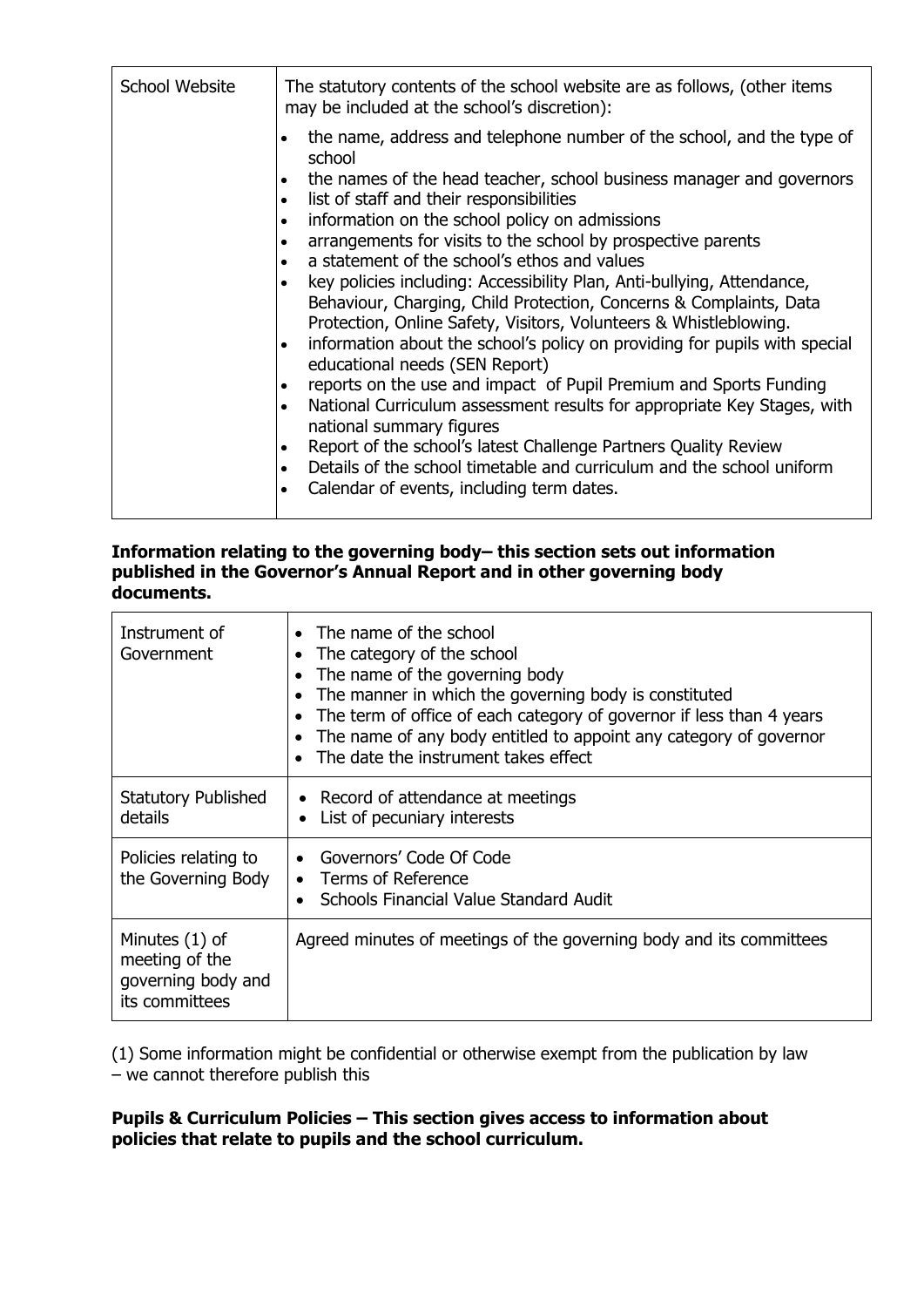| School Website | The statutory contents of the school website are as follows, (other items<br>may be included at the school's discretion):<br>the name, address and telephone number of the school, and the type of<br>school<br>the names of the head teacher, school business manager and governors<br>٠<br>list of staff and their responsibilities<br>$\bullet$<br>information on the school policy on admissions<br>arrangements for visits to the school by prospective parents<br>a statement of the school's ethos and values<br>$\bullet$<br>key policies including: Accessibility Plan, Anti-bullying, Attendance,<br>Behaviour, Charging, Child Protection, Concerns & Complaints, Data<br>Protection, Online Safety, Visitors, Volunteers & Whistleblowing.<br>information about the school's policy on providing for pupils with special<br>$\bullet$<br>educational needs (SEN Report)<br>reports on the use and impact of Pupil Premium and Sports Funding<br>$\bullet$<br>National Curriculum assessment results for appropriate Key Stages, with<br>$\bullet$<br>national summary figures<br>Report of the school's latest Challenge Partners Quality Review<br>Details of the school timetable and curriculum and the school uniform<br>$\bullet$ |
|----------------|----------------------------------------------------------------------------------------------------------------------------------------------------------------------------------------------------------------------------------------------------------------------------------------------------------------------------------------------------------------------------------------------------------------------------------------------------------------------------------------------------------------------------------------------------------------------------------------------------------------------------------------------------------------------------------------------------------------------------------------------------------------------------------------------------------------------------------------------------------------------------------------------------------------------------------------------------------------------------------------------------------------------------------------------------------------------------------------------------------------------------------------------------------------------------------------------------------------------------------------------------|
|                | Calendar of events, including term dates.                                                                                                                                                                                                                                                                                                                                                                                                                                                                                                                                                                                                                                                                                                                                                                                                                                                                                                                                                                                                                                                                                                                                                                                                          |

# **Information relating to the governing body– this section sets out information published in the Governor's Annual Report and in other governing body documents.**

| Instrument of<br>Government                                              | • The name of the school<br>The category of the school<br>$\bullet$<br>The name of the governing body<br>$\bullet$<br>The manner in which the governing body is constituted<br>$\bullet$<br>The term of office of each category of governor if less than 4 years<br>$\bullet$<br>The name of any body entitled to appoint any category of governor<br>$\bullet$<br>The date the instrument takes effect |
|--------------------------------------------------------------------------|---------------------------------------------------------------------------------------------------------------------------------------------------------------------------------------------------------------------------------------------------------------------------------------------------------------------------------------------------------------------------------------------------------|
| <b>Statutory Published</b><br>details                                    | • Record of attendance at meetings<br>List of pecuniary interests                                                                                                                                                                                                                                                                                                                                       |
| Policies relating to<br>the Governing Body                               | Governors' Code Of Code<br>$\bullet$<br>• Terms of Reference<br>Schools Financial Value Standard Audit<br>$\bullet$                                                                                                                                                                                                                                                                                     |
| Minutes (1) of<br>meeting of the<br>governing body and<br>its committees | Agreed minutes of meetings of the governing body and its committees                                                                                                                                                                                                                                                                                                                                     |

(1) Some information might be confidential or otherwise exempt from the publication by law – we cannot therefore publish this

# **Pupils & Curriculum Policies – This section gives access to information about policies that relate to pupils and the school curriculum.**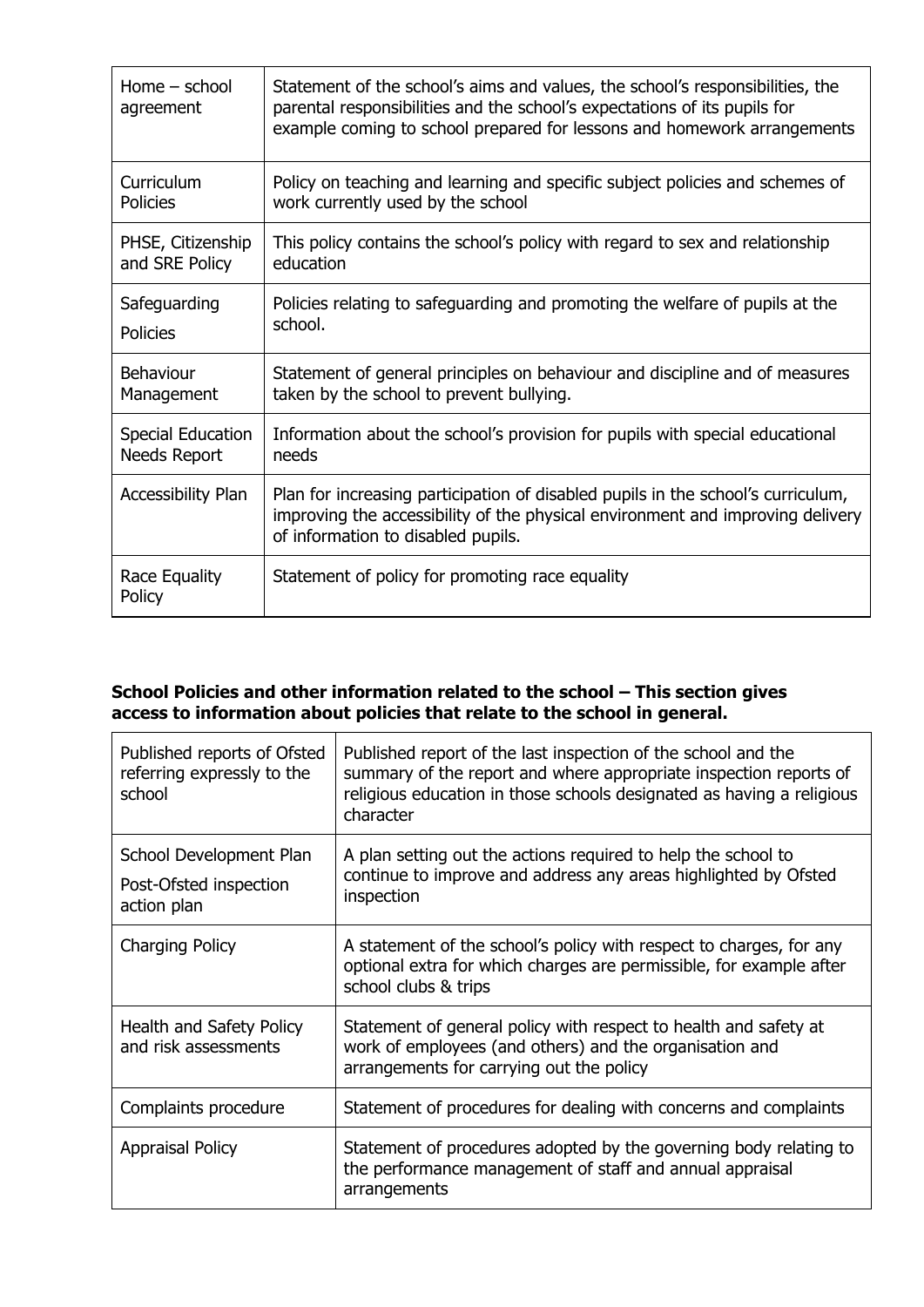| Home $-$ school<br>agreement | Statement of the school's aims and values, the school's responsibilities, the<br>parental responsibilities and the school's expectations of its pupils for<br>example coming to school prepared for lessons and homework arrangements |
|------------------------------|---------------------------------------------------------------------------------------------------------------------------------------------------------------------------------------------------------------------------------------|
| Curriculum                   | Policy on teaching and learning and specific subject policies and schemes of                                                                                                                                                          |
| <b>Policies</b>              | work currently used by the school                                                                                                                                                                                                     |
| PHSE, Citizenship            | This policy contains the school's policy with regard to sex and relationship                                                                                                                                                          |
| and SRE Policy               | education                                                                                                                                                                                                                             |
| Safeguarding                 | Policies relating to safeguarding and promoting the welfare of pupils at the                                                                                                                                                          |
| <b>Policies</b>              | school.                                                                                                                                                                                                                               |
| Behaviour                    | Statement of general principles on behaviour and discipline and of measures                                                                                                                                                           |
| Management                   | taken by the school to prevent bullying.                                                                                                                                                                                              |
| <b>Special Education</b>     | Information about the school's provision for pupils with special educational                                                                                                                                                          |
| Needs Report                 | needs                                                                                                                                                                                                                                 |
| <b>Accessibility Plan</b>    | Plan for increasing participation of disabled pupils in the school's curriculum,<br>improving the accessibility of the physical environment and improving delivery<br>of information to disabled pupils.                              |
| Race Equality<br>Policy      | Statement of policy for promoting race equality                                                                                                                                                                                       |

# **School Policies and other information related to the school – This section gives access to information about policies that relate to the school in general.**

| Published reports of Ofsted<br>referring expressly to the<br>school | Published report of the last inspection of the school and the<br>summary of the report and where appropriate inspection reports of<br>religious education in those schools designated as having a religious<br>character |
|---------------------------------------------------------------------|--------------------------------------------------------------------------------------------------------------------------------------------------------------------------------------------------------------------------|
| School Development Plan<br>Post-Ofsted inspection<br>action plan    | A plan setting out the actions required to help the school to<br>continue to improve and address any areas highlighted by Ofsted<br>inspection                                                                           |
| <b>Charging Policy</b>                                              | A statement of the school's policy with respect to charges, for any<br>optional extra for which charges are permissible, for example after<br>school clubs & trips                                                       |
| Health and Safety Policy<br>and risk assessments                    | Statement of general policy with respect to health and safety at<br>work of employees (and others) and the organisation and<br>arrangements for carrying out the policy                                                  |
| Complaints procedure                                                | Statement of procedures for dealing with concerns and complaints                                                                                                                                                         |
| <b>Appraisal Policy</b>                                             | Statement of procedures adopted by the governing body relating to<br>the performance management of staff and annual appraisal<br>arrangements                                                                            |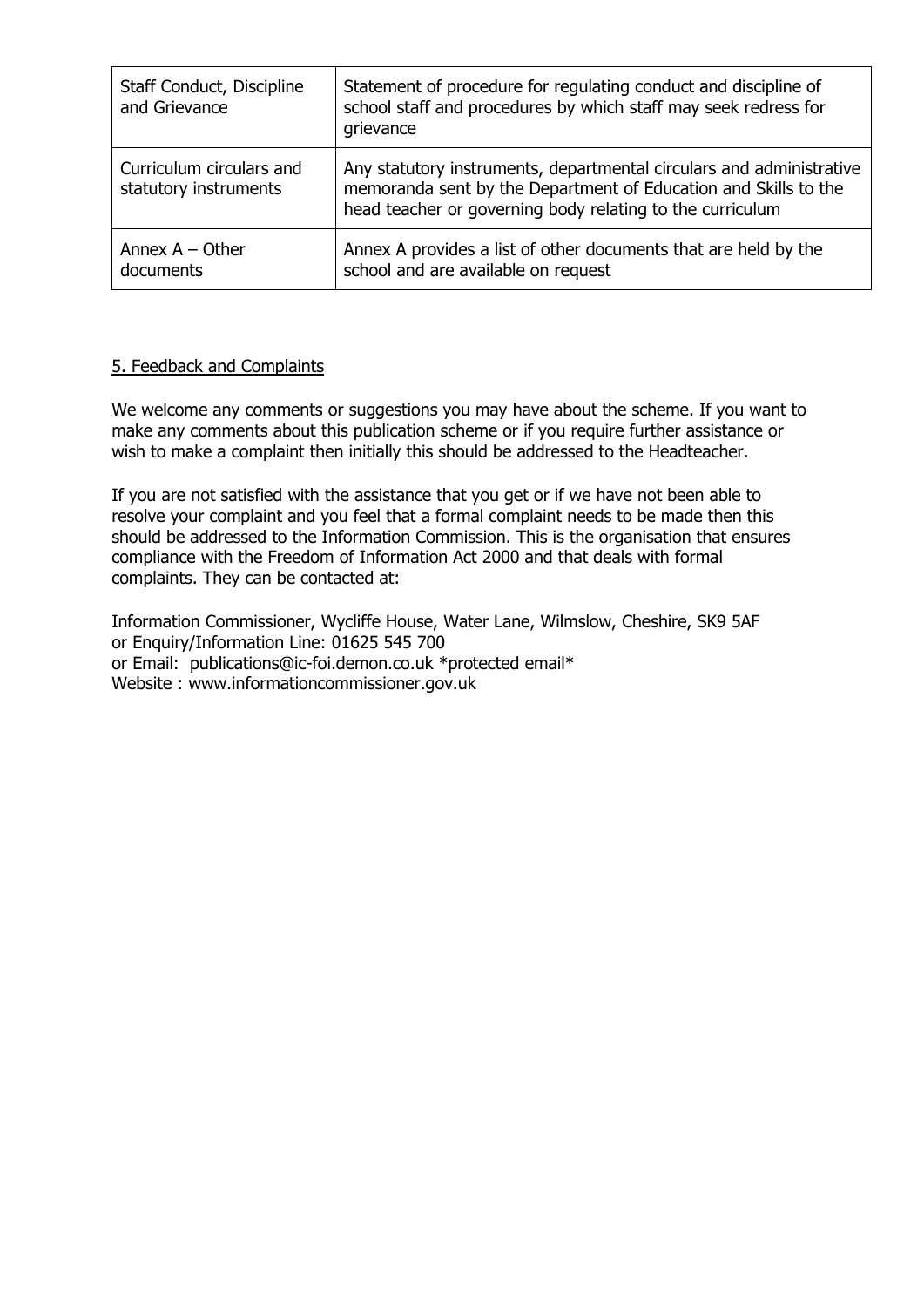| Staff Conduct, Discipline<br>and Grievance        | Statement of procedure for regulating conduct and discipline of<br>school staff and procedures by which staff may seek redress for<br>grievance                                                      |
|---------------------------------------------------|------------------------------------------------------------------------------------------------------------------------------------------------------------------------------------------------------|
| Curriculum circulars and<br>statutory instruments | Any statutory instruments, departmental circulars and administrative<br>memoranda sent by the Department of Education and Skills to the<br>head teacher or governing body relating to the curriculum |
| Annex $A - Other$<br>documents                    | Annex A provides a list of other documents that are held by the<br>school and are available on request                                                                                               |

# 5. Feedback and Complaints

We welcome any comments or suggestions you may have about the scheme. If you want to make any comments about this publication scheme or if you require further assistance or wish to make a complaint then initially this should be addressed to the Headteacher.

If you are not satisfied with the assistance that you get or if we have not been able to resolve your complaint and you feel that a formal complaint needs to be made then this should be addressed to the Information Commission. This is the organisation that ensures compliance with the Freedom of Information Act 2000 and that deals with formal complaints. They can be contacted at:

Information Commissioner, Wycliffe House, Water Lane, Wilmslow, Cheshire, SK9 5AF or Enquiry/Information Line: 01625 545 700 or Email: [publications@ic-foi.demon.co.uk](mailto:publications@ic-foi.demon.co.uk) \*protected email\* Website : www.informationcommissioner.gov.uk